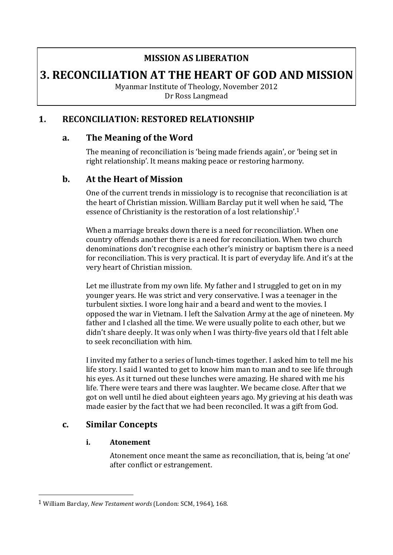### **MISSION AS LIBERATION**

# **3. RECONCILIATION AT THE HEART OF GOD AND MISSION**

Myanmar Institute of Theology, November 2012 Dr Ross Langmead

#### **1. RECONCILIATION: RESTORED RELATIONSHIP**

#### **a. The Meaning of the Word**

The meaning of reconciliation is 'being made friends again', or 'being set in right relationship'. It means making peace or restoring harmony.

#### **b.** At the Heart of Mission

One of the current trends in missiology is to recognise that reconciliation is at the heart of Christian mission. William Barclay put it well when he said, 'The essence of Christianity is the restoration of a lost relationship'.<sup>1</sup>

When a marriage breaks down there is a need for reconciliation. When one country offends another there is a need for reconciliation. When two church denominations don't recognise each other's ministry or baptism there is a need for reconciliation. This is very practical. It is part of everyday life. And it's at the very heart of Christian mission.

Let me illustrate from my own life. My father and I struggled to get on in my younger years. He was strict and very conservative. I was a teenager in the turbulent sixties. I wore long hair and a beard and went to the movies. I opposed the war in Vietnam. I left the Salvation Army at the age of nineteen. My father and I clashed all the time. We were usually polite to each other, but we didn't share deeply. It was only when I was thirty-five years old that I felt able to seek reconciliation with him.

I invited my father to a series of lunch-times together. I asked him to tell me his life story. I said I wanted to get to know him man to man and to see life through his eyes. As it turned out these lunches were amazing. He shared with me his life. There were tears and there was laughter. We became close. After that we got on well until he died about eighteen years ago. My grieving at his death was made easier by the fact that we had been reconciled. It was a gift from God.

#### **c. Similar Concepts**

 

#### **i. Atonement**

Atonement once meant the same as reconciliation, that is, being 'at one' after conflict or estrangement.

<sup>&</sup>lt;sup>1</sup> William Barclay, *New Testament words* (London: SCM, 1964), 168.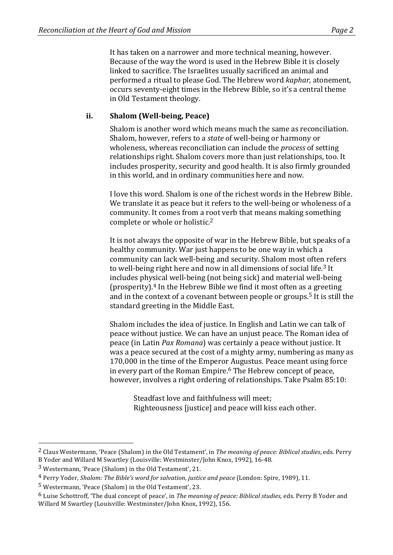It has taken on a narrower and more technical meaning, however. Because of the way the word is used in the Hebrew Bible it is closely linked to sacrifice. The Israelites usually sacrificed an animal and performed a ritual to please God. The Hebrew word *kaphar*, atonement, occurs seventy-eight times in the Hebrew Bible, so it's a central theme in Old Testament theology.

#### **ii. Shalom (Well-being, Peace)**

Shalom is another word which means much the same as reconciliation. Shalom, however, refers to a *state* of well-being or harmony or wholeness, whereas reconciliation can include the *process* of setting relationships right. Shalom covers more than just relationships, too. It includes prosperity, security and good health. It is also firmly grounded in this world, and in ordinary communities here and now.

I love this word. Shalom is one of the richest words in the Hebrew Bible. We translate it as peace but it refers to the well-being or wholeness of a community. It comes from a root verb that means making something complete or whole or holistic.<sup>2</sup>

It is not always the opposite of war in the Hebrew Bible, but speaks of a healthy community. War just happens to be one way in which a community can lack well-being and security. Shalom most often refers to well-being right here and now in all dimensions of social life.<sup>3</sup> It includes physical well-being (not being sick) and material well-being (prosperity). $4$  In the Hebrew Bible we find it most often as a greeting and in the context of a covenant between people or groups.<sup>5</sup> It is still the standard greeting in the Middle East.

Shalom includes the idea of justice. In English and Latin we can talk of peace without justice. We can have an unjust peace. The Roman idea of peace (in Latin *Pax Romana*) was certainly a peace without justice. It was a peace secured at the cost of a mighty army, numbering as many as 170,000 in the time of the Emperor Augustus. Peace meant using force in every part of the Roman Empire.<sup>6</sup> The Hebrew concept of peace, however, involves a right ordering of relationships. Take Psalm 85:10:

Steadfast love and faithfulness will meet: Righteousness liusticel and peace will kiss each other.

<sup>&</sup>lt;sup>2</sup> Claus Westermann, 'Peace (Shalom) in the Old Testament', in *The meaning of peace: Biblical studies*, eds. Perry B Yoder and Willard M Swartley (Louisville: Westminster/John Knox, 1992), 16-48.

 $3$  Westermann, 'Peace (Shalom) in the Old Testament', 21.

<sup>&</sup>lt;sup>4</sup> Perry Yoder, *Shalom: The Bible's word for salvation, justice and peace* (London: Spire, 1989), 11.

 $5$  Westermann, 'Peace (Shalom) in the Old Testament', 23.

<sup>&</sup>lt;sup>6</sup> Luise Schottroff. 'The dual concept of peace', in *The meaning of peace: Biblical studies*, eds. Perry B Yoder and Willard M Swartley (Louisville: Westminster/John Knox, 1992), 156.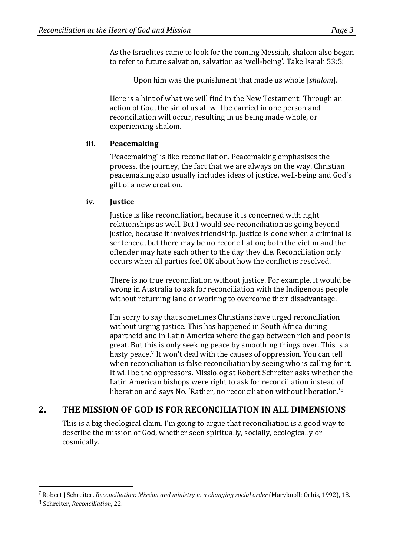As the Israelites came to look for the coming Messiah, shalom also began to refer to future salvation, salvation as 'well-being'. Take Isaiah 53:5:

Upon him was the punishment that made us whole [*shalom*].

Here is a hint of what we will find in the New Testament: Through an action of God, the sin of us all will be carried in one person and reconciliation will occur, resulting in us being made whole, or experiencing shalom.

#### **iii. Peacemaking**

'Peacemaking' is like reconciliation. Peacemaking emphasises the process, the journey, the fact that we are always on the way. Christian peacemaking also usually includes ideas of justice, well-being and God's gift of a new creation.

#### **iv. Justice**

Justice is like reconciliation, because it is concerned with right relationships as well. But I would see reconciliation as going beyond justice, because it involves friendship. Justice is done when a criminal is sentenced, but there may be no reconciliation; both the victim and the offender may hate each other to the day they die. Reconciliation only occurs when all parties feel OK about how the conflict is resolved.

There is no true reconciliation without justice. For example, it would be wrong in Australia to ask for reconciliation with the Indigenous people without returning land or working to overcome their disadvantage.

I'm sorry to say that sometimes Christians have urged reconciliation without urging justice. This has happened in South Africa during apartheid and in Latin America where the gap between rich and poor is great. But this is only seeking peace by smoothing things over. This is a hasty peace.<sup>7</sup> It won't deal with the causes of oppression. You can tell when reconciliation is false reconciliation by seeing who is calling for it. It will be the oppressors. Missiologist Robert Schreiter asks whether the Latin American bishops were right to ask for reconciliation instead of liberation and says No. 'Rather, no reconciliation without liberation.'<sup>8</sup>

### 2. THE MISSION OF GOD IS FOR RECONCILIATION IN ALL DIMENSIONS

This is a big theological claim. I'm going to argue that reconciliation is a good way to describe the mission of God, whether seen spiritually, socially, ecologically or cosmically.

<sup>7</sup> Robert J Schreiter, *Reconciliation: Mission and ministry in a changing social order* (Maryknoll: Orbis, 1992), 18.

<sup>8</sup> Schreiter, *Reconciliation*, 22.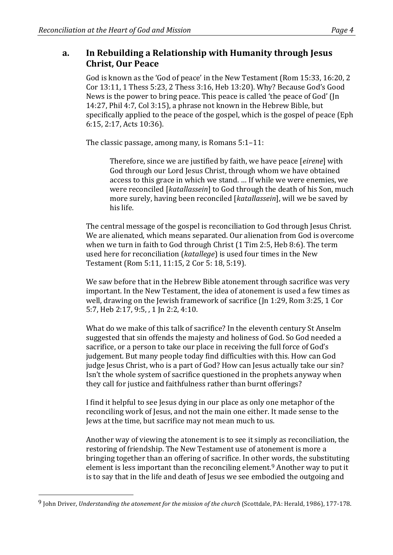#### a. In Rebuilding a Relationship with Humanity through Jesus **Christ, Our Peace**

God is known as the 'God of peace' in the New Testament (Rom 15:33, 16:20, 2) Cor 13:11, 1 Thess 5:23, 2 Thess 3:16, Heb 13:20). Why? Because God's Good News is the power to bring peace. This peace is called 'the peace of God' (In 14:27, Phil 4:7, Col 3:15), a phrase not known in the Hebrew Bible, but specifically applied to the peace of the gospel, which is the gospel of peace (Eph 6:15, 2:17, Acts 10:36).

The classic passage, among many, is Romans  $5:1-11$ :

Therefore, since we are justified by faith, we have peace [eirene] with God through our Lord Jesus Christ, through whom we have obtained access to this grace in which we stand. ... If while we were enemies, we were reconciled [katallassein] to God through the death of his Son, much more surely, having been reconciled [*katallassein*], will we be saved by his life.

The central message of the gospel is reconciliation to God through Jesus Christ. We are alienated, which means separated. Our alienation from God is overcome when we turn in faith to God through Christ  $(1$  Tim 2:5, Heb 8:6). The term used here for reconciliation (*katallege*) is used four times in the New Testament (Rom 5:11, 11:15, 2 Cor 5: 18, 5:19).

We saw before that in the Hebrew Bible atonement through sacrifice was very important. In the New Testament, the idea of atonement is used a few times as well, drawing on the Jewish framework of sacrifice  $\pi$  (In 1:29, Rom 3:25, 1 Cor 5:7, Heb 2:17, 9:5, , 1 Jn 2:2, 4:10.

What do we make of this talk of sacrifice? In the eleventh century St Anselm suggested that sin offends the majesty and holiness of God. So God needed a sacrifice, or a person to take our place in receiving the full force of God's judgement. But many people today find difficulties with this. How can God judge Jesus Christ, who is a part of God? How can Jesus actually take our sin? Isn't the whole system of sacrifice questioned in the prophets anyway when they call for justice and faithfulness rather than burnt offerings?

I find it helpful to see Jesus dying in our place as only one metaphor of the reconciling work of Jesus, and not the main one either. It made sense to the Jews at the time, but sacrifice may not mean much to us.

Another way of viewing the atonement is to see it simply as reconciliation, the restoring of friendship. The New Testament use of atonement is more a bringing together than an offering of sacrifice. In other words, the substituting element is less important than the reconciling element.<sup>9</sup> Another way to put it is to say that in the life and death of Jesus we see embodied the outgoing and

<sup>&</sup>lt;sup>9</sup> John Driver, *Understanding the atonement for the mission of the church* (Scottdale, PA: Herald, 1986), 177-178.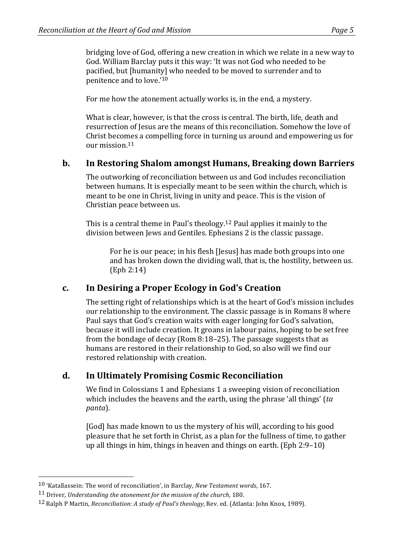bridging love of God, offering a new creation in which we relate in a new way to God. William Barclay puts it this way: 'It was not God who needed to be pacified, but [humanity] who needed to be moved to surrender and to penitence and to love.'<sup>10</sup>

For me how the atonement actually works is, in the end, a mystery.

What is clear, however, is that the cross is central. The birth, life, death and resurrection of Jesus are the means of this reconciliation. Somehow the love of Christ becomes a compelling force in turning us around and empowering us for  $\omega$ ur mission  $11$ 

#### **b. In Restoring Shalom amongst Humans, Breaking down Barriers**

The outworking of reconciliation between us and God includes reconciliation between humans. It is especially meant to be seen within the church, which is meant to be one in Christ, living in unity and peace. This is the vision of Christian peace between us.

This is a central theme in Paul's theology.<sup>12</sup> Paul applies it mainly to the division between Jews and Gentiles. Ephesians 2 is the classic passage.

For he is our peace; in his flesh [Jesus] has made both groups into one and has broken down the dividing wall, that is, the hostility, between us. (Eph 2:14)

### **c. In Desiring a Proper Ecology in God's Creation**

The setting right of relationships which is at the heart of God's mission includes our relationship to the environment. The classic passage is in Romans 8 where Paul says that God's creation waits with eager longing for God's salvation, because it will include creation. It groans in labour pains, hoping to be set free from the bondage of decay (Rom 8:18–25). The passage suggests that as humans are restored in their relationship to God, so also will we find our restored relationship with creation.

### **d. In Ultimately Promising Cosmic Reconciliation**

We find in Colossians 1 and Ephesians 1 a sweeping vision of reconciliation which includes the heavens and the earth, using the phrase 'all things' (ta *panta*).

[God] has made known to us the mystery of his will, according to his good pleasure that he set forth in Christ, as a plan for the fullness of time, to gather up all things in him, things in heaven and things on earth.  $(Eph 2:9-10)$ 

<sup>&</sup>lt;sup>10</sup> 'Katallassein: The word of reconciliation', in Barclay, *New Testament words*, 167.

<sup>&</sup>lt;sup>11</sup> Driver, *Understanding the atonement for the mission of the church*, 180.

<sup>&</sup>lt;sup>12</sup> Ralph P Martin, *Reconciliation: A study of Paul's theology*, Rev. ed. (Atlanta: John Knox, 1989).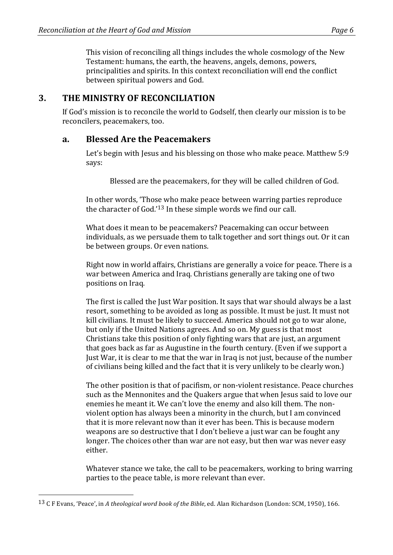This vision of reconciling all things includes the whole cosmology of the New Testament: humans, the earth, the heavens, angels, demons, powers, principalities and spirits. In this context reconciliation will end the conflict between spiritual powers and God.

### **3.** THE MINISTRY OF RECONCILIATION

If God's mission is to reconcile the world to Godself, then clearly our mission is to be reconcilers, peacemakers, too.

#### **a. Blessed Are the Peacemakers**

Let's begin with Jesus and his blessing on those who make peace. Matthew 5:9 says: 

Blessed are the peacemakers, for they will be called children of God.

In other words, 'Those who make peace between warring parties reproduce the character of God.' $13$  In these simple words we find our call.

What does it mean to be peacemakers? Peacemaking can occur between individuals, as we persuade them to talk together and sort things out. Or it can be between groups. Or even nations.

Right now in world affairs, Christians are generally a voice for peace. There is a war between America and Iraq. Christians generally are taking one of two positions on Iraq.

The first is called the Just War position. It says that war should always be a last resort, something to be avoided as long as possible. It must be just. It must not kill civilians. It must be likely to succeed. America should not go to war alone, but only if the United Nations agrees. And so on. My guess is that most Christians take this position of only fighting wars that are just, an argument that goes back as far as Augustine in the fourth century. (Even if we support a Just War, it is clear to me that the war in Iraq is not just, because of the number of civilians being killed and the fact that it is very unlikely to be clearly won.)

The other position is that of pacifism, or non-violent resistance. Peace churches such as the Mennonites and the Quakers argue that when Jesus said to love our enemies he meant it. We can't love the enemy and also kill them. The nonviolent option has always been a minority in the church, but I am convinced that it is more relevant now than it ever has been. This is because modern weapons are so destructive that I don't believe a just war can be fought any longer. The choices other than war are not easy, but then war was never easy either.

Whatever stance we take, the call to be peacemakers, working to bring warring parties to the peace table, is more relevant than ever.

<sup>&</sup>lt;sup>13</sup> C F Evans, 'Peace', in A theological word book of the Bible, ed. Alan Richardson (London: SCM, 1950), 166.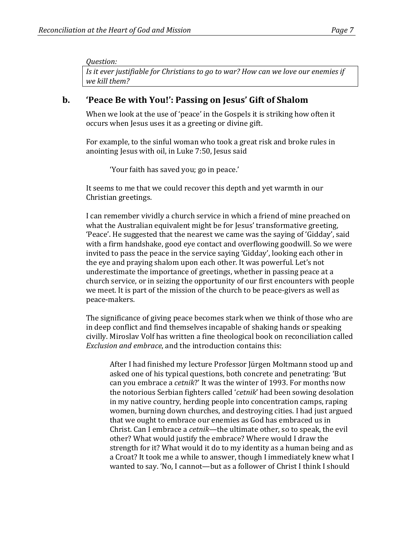*Question:*  Is it ever justifiable for Christians to ao to war? How can we love our enemies if *we kill them?*

### **b. 'Peace Be with You!': Passing on Jesus' Gift of Shalom**

When we look at the use of 'peace' in the Gospels it is striking how often it occurs when Jesus uses it as a greeting or divine gift.

For example, to the sinful woman who took a great risk and broke rules in anointing Jesus with oil, in Luke 7:50, Jesus said

'Your faith has saved you; go in peace.'

It seems to me that we could recover this depth and yet warmth in our Christian greetings.

I can remember vividly a church service in which a friend of mine preached on what the Australian equivalent might be for Jesus' transformative greeting, 'Peace'. He suggested that the nearest we came was the saying of 'Gidday', said with a firm handshake, good eye contact and overflowing goodwill. So we were invited to pass the peace in the service saying 'Gidday', looking each other in the eye and praying shalom upon each other. It was powerful. Let's not underestimate the importance of greetings, whether in passing peace at a church service, or in seizing the opportunity of our first encounters with people we meet. It is part of the mission of the church to be peace-givers as well as peace-makers.

The significance of giving peace becomes stark when we think of those who are in deep conflict and find themselves incapable of shaking hands or speaking civilly. Miroslav Volf has written a fine theological book on reconciliation called *Exclusion and embrace*, and the introduction contains this:

After I had finished my lecture Professor Jürgen Moltmann stood up and asked one of his typical questions, both concrete and penetrating: 'But can you embrace a *cetnik*?' It was the winter of 1993. For months now the notorious Serbian fighters called '*cetnik*' had been sowing desolation in my native country, herding people into concentration camps, raping women, burning down churches, and destroying cities. I had just argued that we ought to embrace our enemies as God has embraced us in Christ. Can I embrace a *cetnik*—the ultimate other, so to speak, the evil other? What would justify the embrace? Where would I draw the strength for it? What would it do to my identity as a human being and as a Croat? It took me a while to answer, though I immediately knew what I wanted to say. 'No, I cannot—but as a follower of Christ I think I should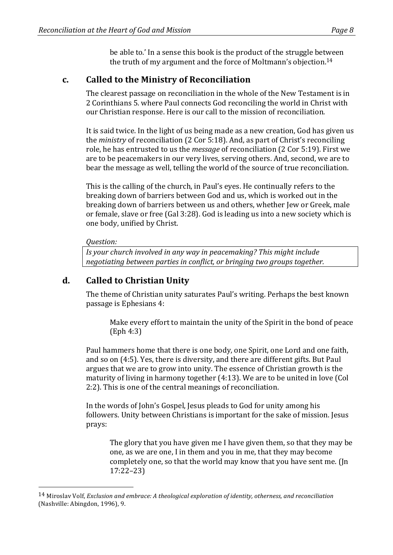be able to.' In a sense this book is the product of the struggle between the truth of my argument and the force of Moltmann's objection.<sup>14</sup>

### **c. Called to the Ministry of Reconciliation**

The clearest passage on reconciliation in the whole of the New Testament is in 2 Corinthians 5. where Paul connects God reconciling the world in Christ with our Christian response. Here is our call to the mission of reconciliation.

It is said twice. In the light of us being made as a new creation, God has given us the *ministry* of reconciliation (2 Cor 5:18). And, as part of Christ's reconciling role, he has entrusted to us the *message* of reconciliation (2 Cor 5:19). First we are to be peacemakers in our very lives, serving others. And, second, we are to bear the message as well, telling the world of the source of true reconciliation.

This is the calling of the church, in Paul's eyes. He continually refers to the breaking down of barriers between God and us, which is worked out in the breaking down of barriers between us and others, whether lew or Greek, male or female, slave or free  $(Gal 3:28)$ . God is leading us into a new society which is one body, unified by Christ.

#### *Question:*

 

*Is your church involved in any way in peacemaking? This might include negotiating between parties in conflict, or bringing two groups together.* 

# **d. Called to Christian Unity**

The theme of Christian unity saturates Paul's writing. Perhaps the best known passage is Ephesians 4:

Make every effort to maintain the unity of the Spirit in the bond of peace (Eph 4:3) 

Paul hammers home that there is one body, one Spirit, one Lord and one faith, and so on (4:5). Yes, there is diversity, and there are different gifts. But Paul argues that we are to grow into unity. The essence of Christian growth is the maturity of living in harmony together  $(4:13)$ . We are to be united in love  $[Col]$ 2:2). This is one of the central meanings of reconciliation.

In the words of John's Gospel, Jesus pleads to God for unity among his followers. Unity between Christians is important for the sake of mission. Jesus prays:

The glory that you have given me I have given them, so that they may be one, as we are one, I in them and you in me, that they may become completely one, so that the world may know that you have sent me. (Jn 17:22–23)

<sup>&</sup>lt;sup>14</sup> Miroslav Volf, *Exclusion and embrace:* A theological exploration of identity, otherness, and reconciliation (Nashville: Abingdon, 1996), 9.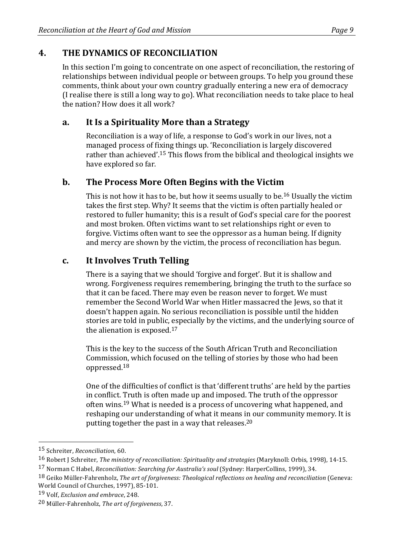# **4. THE DYNAMICS OF RECONCILIATION**

In this section I'm going to concentrate on one aspect of reconciliation, the restoring of relationships between individual people or between groups. To help you ground these comments, think about your own country gradually entering a new era of democracy (I realise there is still a long way to go). What reconciliation needs to take place to heal the nation? How does it all work?

### **a. It Is a Spirituality More than a Strategy**

Reconciliation is a way of life, a response to God's work in our lives, not a managed process of fixing things up. 'Reconciliation is largely discovered rather than achieved'.<sup>15</sup> This flows from the biblical and theological insights we have explored so far.

### **b.** The Process More Often Begins with the Victim

This is not how it has to be, but how it seems usually to be.<sup>16</sup> Usually the victim takes the first step. Why? It seems that the victim is often partially healed or restored to fuller humanity; this is a result of God's special care for the poorest and most broken. Often victims want to set relationships right or even to forgive. Victims often want to see the oppressor as a human being. If dignity and mercy are shown by the victim, the process of reconciliation has begun.

# **c. It Involves Truth Telling**

There is a saying that we should 'forgive and forget'. But it is shallow and wrong. Forgiveness requires remembering, bringing the truth to the surface so that it can be faced. There may even be reason never to forget. We must remember the Second World War when Hitler massacred the Jews, so that it doesn't happen again. No serious reconciliation is possible until the hidden stories are told in public, especially by the victims, and the underlying source of the alienation is exposed. $17$ 

This is the key to the success of the South African Truth and Reconciliation Commission, which focused on the telling of stories by those who had been oppressed.18

One of the difficulties of conflict is that 'different truths' are held by the parties in conflict. Truth is often made up and imposed. The truth of the oppressor often wins.<sup>19</sup> What is needed is a process of uncovering what happened, and reshaping our understanding of what it means in our community memory. It is putting together the past in a way that releases.<sup>20</sup>

 15 Schreiter, *Reconciliation*, 60.

<sup>16</sup> Robert J Schreiter, *The ministry of reconciliation: Spirituality and strategies* (Maryknoll: Orbis, 1998), 14-15.

<sup>&</sup>lt;sup>17</sup> Norman C Habel, *Reconciliation: Searching for Australia's soul* (Sydney: HarperCollins, 1999), 34.

<sup>18</sup> Geiko Müller-Fahrenholz, *The art of forgiveness: Theological reflections on healing and reconciliation* (Geneva: World Council of Churches, 1997), 85-101.

<sup>19</sup> Volf, *Exclusion and embrace*, 248.

<sup>20</sup> Müller-Fahrenholz, *The art of forgiveness*, 37.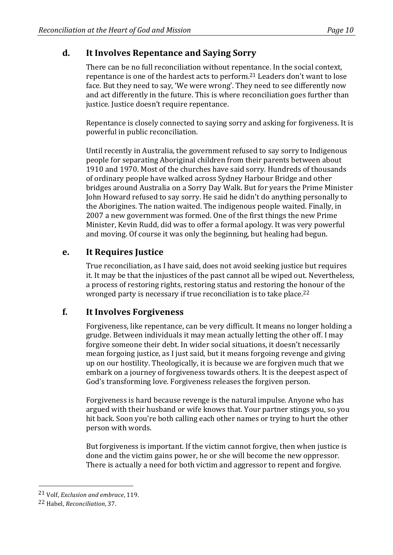## **d. It Involves Repentance and Saying Sorry**

There can be no full reconciliation without repentance. In the social context, repentance is one of the hardest acts to perform.<sup>21</sup> Leaders don't want to lose face. But they need to say, 'We were wrong'. They need to see differently now and act differently in the future. This is where reconciliation goes further than justice. Justice doesn't require repentance.

Repentance is closely connected to saying sorry and asking for forgiveness. It is powerful in public reconciliation.

Until recently in Australia, the government refused to say sorry to Indigenous people for separating Aboriginal children from their parents between about 1910 and 1970. Most of the churches have said sorry. Hundreds of thousands of ordinary people have walked across Sydney Harbour Bridge and other bridges around Australia on a Sorry Day Walk. But for years the Prime Minister John Howard refused to say sorry. He said he didn't do anything personally to the Aborigines. The nation waited. The indigenous people waited. Finally, in 2007 a new government was formed. One of the first things the new Prime Minister, Kevin Rudd, did was to offer a formal apology. It was very powerful and moving. Of course it was only the beginning, but healing had begun.

### **e. It Requires Justice**

True reconciliation, as I have said, does not avoid seeking justice but requires it. It may be that the injustices of the past cannot all be wiped out. Nevertheless, a process of restoring rights, restoring status and restoring the honour of the wronged party is necessary if true reconciliation is to take place.<sup>22</sup>

### **f. It Involves Forgiveness**

Forgiveness, like repentance, can be very difficult. It means no longer holding a grudge. Between individuals it may mean actually letting the other off. I may forgive someone their debt. In wider social situations, it doesn't necessarily mean forgoing justice, as I just said, but it means forgoing revenge and giving up on our hostility. Theologically, it is because we are forgiven much that we embark on a journey of forgiveness towards others. It is the deepest aspect of God's transforming love. Forgiveness releases the forgiven person.

Forgiveness is hard because revenge is the natural impulse. Anyone who has argued with their husband or wife knows that. Your partner stings you, so you hit back. Soon you're both calling each other names or trying to hurt the other person with words.

But forgiveness is important. If the victim cannot forgive, then when justice is done and the victim gains power, he or she will become the new oppressor. There is actually a need for both victim and aggressor to repent and forgive.

 21 Volf, *Exclusion and embrace*, 119.

<sup>22</sup> Habel, *Reconciliation*, 37.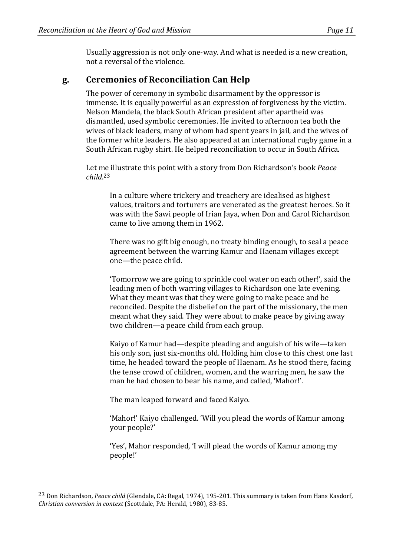Usually aggression is not only one-way. And what is needed is a new creation, not a reversal of the violence.

#### **g. Ceremonies of Reconciliation Can Help**

The power of ceremony in symbolic disarmament by the oppressor is immense. It is equally powerful as an expression of forgiveness by the victim. Nelson Mandela, the black South African president after apartheid was dismantled, used symbolic ceremonies. He invited to afternoon tea both the wives of black leaders, many of whom had spent years in jail, and the wives of the former white leaders. He also appeared at an international rugby game in a South African rugby shirt. He helped reconciliation to occur in South Africa.

Let me illustrate this point with a story from Don Richardson's book *Peace child*. 23

In a culture where trickery and treachery are idealised as highest values, traitors and torturers are venerated as the greatest heroes. So it was with the Sawi people of Irian Jaya, when Don and Carol Richardson came to live among them in 1962.

There was no gift big enough, no treaty binding enough, to seal a peace agreement between the warring Kamur and Haenam villages except one—the peace child.

Tomorrow we are going to sprinkle cool water on each other!', said the leading men of both warring villages to Richardson one late evening. What they meant was that they were going to make peace and be reconciled. Despite the disbelief on the part of the missionary, the men meant what they said. They were about to make peace by giving away two children—a peace child from each group.

Kaiyo of Kamur had—despite pleading and anguish of his wife—taken his only son, just six-months old. Holding him close to this chest one last time, he headed toward the people of Haenam. As he stood there, facing the tense crowd of children, women, and the warring men, he saw the man he had chosen to bear his name, and called, 'Mahor!'.

The man leaped forward and faced Kaiyo.

 

'Mahor!' Kaiyo challenged. 'Will you plead the words of Kamur among your people?'

'Yes', Mahor responded, 'I will plead the words of Kamur among my people!'

<sup>&</sup>lt;sup>23</sup> Don Richardson, *Peace child* (Glendale, CA: Regal, 1974), 195-201. This summary is taken from Hans Kasdorf, *Christian conversion in context* (Scottdale, PA: Herald, 1980), 83-85.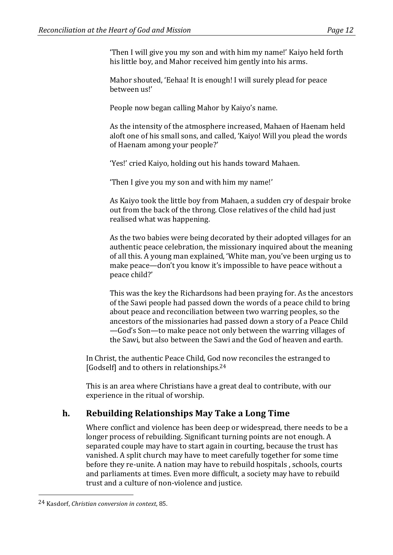Then I will give you my son and with him my name!' Kaiyo held forth his little boy, and Mahor received him gently into his arms.

Mahor shouted, 'Eehaa! It is enough! I will surely plead for peace between us!'

People now began calling Mahor by Kaiyo's name.

As the intensity of the atmosphere increased, Mahaen of Haenam held aloft one of his small sons, and called, 'Kaiyo! Will you plead the words of Haenam among your people?'

'Yes!' cried Kaiyo, holding out his hands toward Mahaen.

'Then I give you my son and with him my name!'

As Kaiyo took the little boy from Mahaen, a sudden cry of despair broke out from the back of the throng. Close relatives of the child had just realised what was happening.

As the two babies were being decorated by their adopted villages for an authentic peace celebration, the missionary inquired about the meaning of all this. A young man explained, 'White man, you've been urging us to make peace—don't you know it's impossible to have peace without a peace child?'

This was the key the Richardsons had been praying for. As the ancestors of the Sawi people had passed down the words of a peace child to bring about peace and reconciliation between two warring peoples, so the ancestors of the missionaries had passed down a story of a Peace Child —God's Son—to make peace not only between the warring villages of the Sawi, but also between the Sawi and the God of heaven and earth.

In Christ, the authentic Peace Child, God now reconciles the estranged to [Godself] and to others in relationships. $24$ 

This is an area where Christians have a great deal to contribute, with our experience in the ritual of worship.

### **h. Rebuilding Relationships May Take a Long Time**

Where conflict and violence has been deep or widespread, there needs to be a longer process of rebuilding. Significant turning points are not enough. A separated couple may have to start again in courting, because the trust has vanished. A split church may have to meet carefully together for some time before they re-unite. A nation may have to rebuild hospitals, schools, courts and parliaments at times. Even more difficult, a society may have to rebuild trust and a culture of non-violence and justice.

<sup>24</sup> Kasdorf, *Christian conversion in context*, 85.